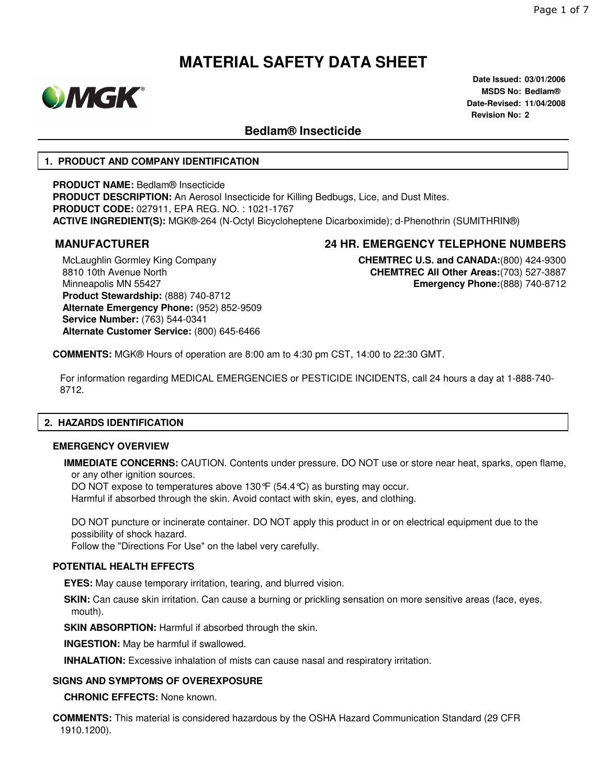

**Date Issued: 03/01/2006 MSDS No: Bedlam® Date-Revised: 11/04/2008 Revision No: 2**

### **Bedlam® Insecticide**

#### **1. PRODUCT AND COMPANY IDENTIFICATION**

**PRODUCT NAME:** Bedlam® Insecticide **PRODUCT DESCRIPTION:** An Aerosol Insecticide for Killing Bedbugs, Lice, and Dust Mites. **PRODUCT CODE:** 027911, EPA REG. NO. : 1021-1767 **ACTIVE INGREDIENT(S):** MGK®-264 (N-Octyl Bicycloheptene Dicarboximide); d-Phenothrin (SUMITHRIN®)

## **MANUFACTURER 24 HR. EMERGENCY TELEPHONE NUMBERS**

McLaughlin Gormley King Company 8810 10th Avenue North Minneapolis MN 55427 **Product Stewardship:** (888) 740-8712 **Alternate Emergency Phone:** (952) 852-9509 **Service Number:** (763) 544-0341 **Alternate Customer Service:** (800) 645-6466

**CHEMTREC U.S. and CANADA:**(800) 424-9300 **CHEMTREC All Other Areas:**(703) 527-3887 **Emergency Phone:**(888) 740-8712

**COMMENTS:** MGK® Hours of operation are 8:00 am to 4:30 pm CST, 14:00 to 22:30 GMT.

For information regarding MEDICAL EMERGENCIES or PESTICIDE INCIDENTS, call 24 hours a day at 1-888-740- 8712.

#### **2. HAZARDS IDENTIFICATION**

#### **EMERGENCY OVERVIEW**

**IMMEDIATE CONCERNS:** CAUTION. Contents under pressure. DO NOT use or store near heat, sparks, open flame, or any other ignition sources.

DO NOT expose to temperatures above 130°F (54.4°C) as bursting may occur.

Harmful if absorbed through the skin. Avoid contact with skin, eyes, and clothing.

DO NOT puncture or incinerate container. DO NOT apply this product in or on electrical equipment due to the possibility of shock hazard.

Follow the "Directions For Use" on the label very carefully.

#### **POTENTIAL HEALTH EFFECTS**

**EYES:** May cause temporary irritation, tearing, and blurred vision.

**SKIN:** Can cause skin irritation. Can cause a burning or prickling sensation on more sensitive areas (face, eyes, mouth).

**SKIN ABSORPTION: Harmful if absorbed through the skin.** 

**INGESTION:** May be harmful if swallowed.

**INHALATION:** Excessive inhalation of mists can cause nasal and respiratory irritation.

#### **SIGNS AND SYMPTOMS OF OVEREXPOSURE**

**CHRONIC EFFECTS:** None known.

**COMMENTS:** This material is considered hazardous by the OSHA Hazard Communication Standard (29 CFR 1910.1200).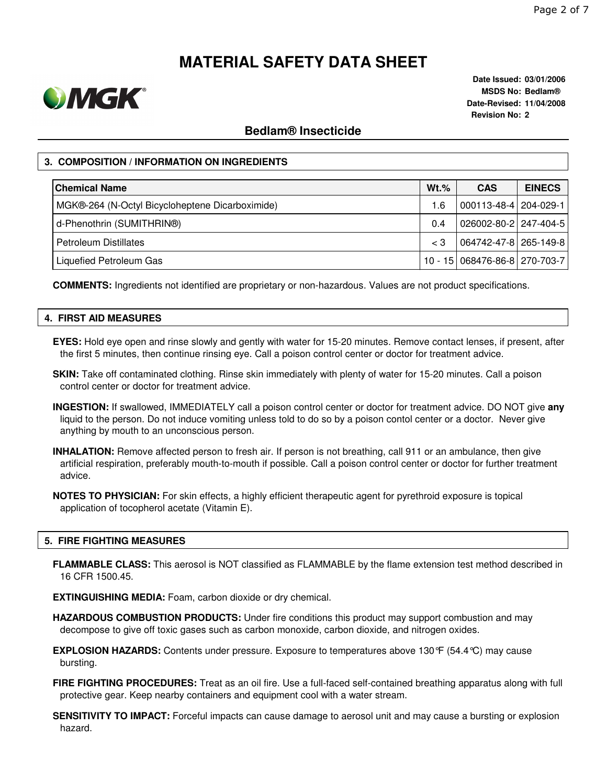

**Date Issued: 03/01/2006 MSDS No: Bedlam® Date-Revised: 11/04/2008 Revision No: 2**

### **Bedlam® Insecticide**

### **3. COMPOSITION / INFORMATION ON INGREDIENTS**

| <b>Chemical Name</b>                            | $Wt.$ %     | <b>CAS</b>                    | <b>EINECS</b> |
|-------------------------------------------------|-------------|-------------------------------|---------------|
| MGK®-264 (N-Octyl Bicycloheptene Dicarboximide) | 1.6         | 000113-48-4   204-029-1       |               |
| d-Phenothrin (SUMITHRIN®)                       | 0.4         | 026002-80-2 247-404-5         |               |
| <b>Petroleum Distillates</b>                    | $\langle$ 3 | 064742-47-8 265-149-8         |               |
| Liquefied Petroleum Gas                         |             | 10 - 15 068476-86-8 270-703-7 |               |

**COMMENTS:** Ingredients not identified are proprietary or non-hazardous. Values are not product specifications.

#### **4. FIRST AID MEASURES**

**EYES:** Hold eye open and rinse slowly and gently with water for 15-20 minutes. Remove contact lenses, if present, after the first 5 minutes, then continue rinsing eye. Call a poison control center or doctor for treatment advice.

- **SKIN:** Take off contaminated clothing. Rinse skin immediately with plenty of water for 15-20 minutes. Call a poison control center or doctor for treatment advice.
- **INGESTION:** If swallowed, IMMEDIATELY call a poison control center or doctor for treatment advice. DO NOT give **any** liquid to the person. Do not induce vomiting unless told to do so by a poison contol center or a doctor. Never give anything by mouth to an unconscious person.
- **INHALATION:** Remove affected person to fresh air. If person is not breathing, call 911 or an ambulance, then give artificial respiration, preferably mouth-to-mouth if possible. Call a poison control center or doctor for further treatment advice.
- **NOTES TO PHYSICIAN:** For skin effects, a highly efficient therapeutic agent for pyrethroid exposure is topical application of tocopherol acetate (Vitamin E).

#### **5. FIRE FIGHTING MEASURES**

**FLAMMABLE CLASS:** This aerosol is NOT classified as FLAMMABLE by the flame extension test method described in 16 CFR 1500.45.

**EXTINGUISHING MEDIA:** Foam, carbon dioxide or dry chemical.

- **HAZARDOUS COMBUSTION PRODUCTS:** Under fire conditions this product may support combustion and may decompose to give off toxic gases such as carbon monoxide, carbon dioxide, and nitrogen oxides.
- **EXPLOSION HAZARDS:** Contents under pressure. Exposure to temperatures above 130°F (54.4°C) may cause bursting.
- **FIRE FIGHTING PROCEDURES:** Treat as an oil fire. Use a full-faced self-contained breathing apparatus along with full protective gear. Keep nearby containers and equipment cool with a water stream.
- **SENSITIVITY TO IMPACT:** Forceful impacts can cause damage to aerosol unit and may cause a bursting or explosion hazard.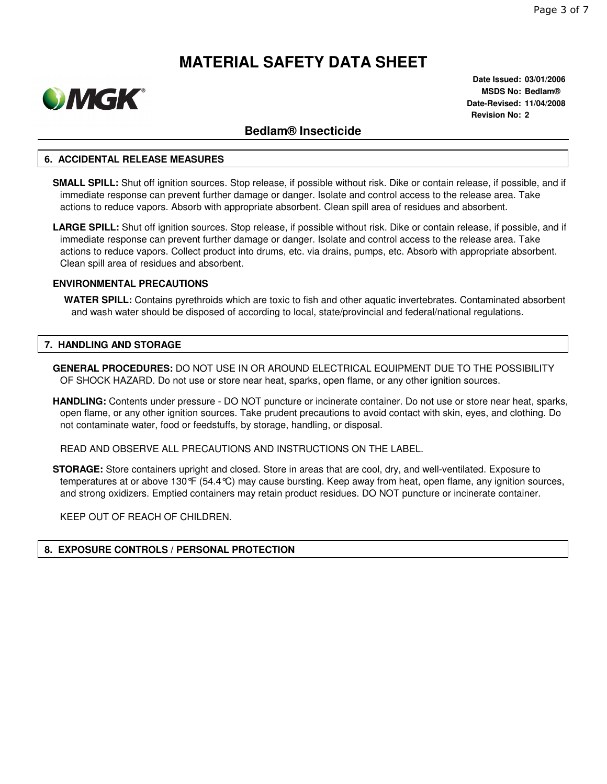

**Date Issued: 03/01/2006 MSDS No: Bedlam® Date-Revised: 11/04/2008 Revision No: 2**

### **Bedlam® Insecticide**

#### **6. ACCIDENTAL RELEASE MEASURES**

- **SMALL SPILL:** Shut off ignition sources. Stop release, if possible without risk. Dike or contain release, if possible, and if immediate response can prevent further damage or danger. Isolate and control access to the release area. Take actions to reduce vapors. Absorb with appropriate absorbent. Clean spill area of residues and absorbent.
- **LARGE SPILL:** Shut off ignition sources. Stop release, if possible without risk. Dike or contain release, if possible, and if immediate response can prevent further damage or danger. Isolate and control access to the release area. Take actions to reduce vapors. Collect product into drums, etc. via drains, pumps, etc. Absorb with appropriate absorbent. Clean spill area of residues and absorbent.

#### **ENVIRONMENTAL PRECAUTIONS**

**WATER SPILL:** Contains pyrethroids which are toxic to fish and other aquatic invertebrates. Contaminated absorbent and wash water should be disposed of according to local, state/provincial and federal/national regulations.

#### **7. HANDLING AND STORAGE**

- **GENERAL PROCEDURES:** DO NOT USE IN OR AROUND ELECTRICAL EQUIPMENT DUE TO THE POSSIBILITY OF SHOCK HAZARD. Do not use or store near heat, sparks, open flame, or any other ignition sources.
- **HANDLING:** Contents under pressure DO NOT puncture or incinerate container. Do not use or store near heat, sparks, open flame, or any other ignition sources. Take prudent precautions to avoid contact with skin, eyes, and clothing. Do not contaminate water, food or feedstuffs, by storage, handling, or disposal.

READ AND OBSERVE ALL PRECAUTIONS AND INSTRUCTIONS ON THE LABEL.

**STORAGE:** Store containers upright and closed. Store in areas that are cool, dry, and well-ventilated. Exposure to temperatures at or above 130°F (54.4°C) may cause bursting. Keep away from heat, open flame, any ignition sources, and strong oxidizers. Emptied containers may retain product residues. DO NOT puncture or incinerate container.

KEEP OUT OF REACH OF CHILDREN.

#### **8. EXPOSURE CONTROLS / PERSONAL PROTECTION**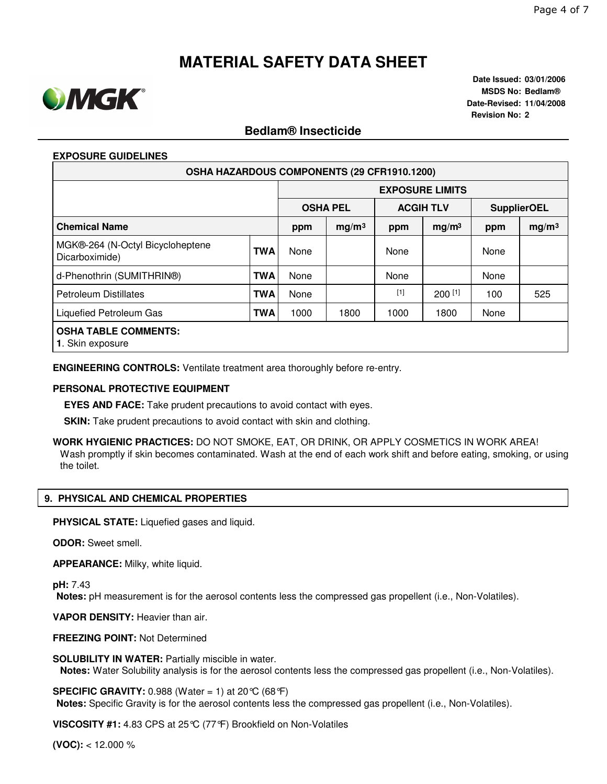

**Date Issued: 03/01/2006 MSDS No: Bedlam® Date-Revised: 11/04/2008 Revision No: 2**

## **Bedlam® Insecticide**

#### **EXPOSURE GUIDELINES**

| <b>OSHA HAZARDOUS COMPONENTS (29 CFR1910.1200)</b> |            |                        |                   |                  |                   |                    |                   |  |  |  |
|----------------------------------------------------|------------|------------------------|-------------------|------------------|-------------------|--------------------|-------------------|--|--|--|
|                                                    |            | <b>EXPOSURE LIMITS</b> |                   |                  |                   |                    |                   |  |  |  |
|                                                    |            | <b>OSHA PEL</b>        |                   | <b>ACGIH TLV</b> |                   | <b>SupplierOEL</b> |                   |  |  |  |
| <b>Chemical Name</b>                               |            | ppm                    | mg/m <sup>3</sup> | ppm              | mg/m <sup>3</sup> | ppm                | mg/m <sup>3</sup> |  |  |  |
| MGK®-264 (N-Octyl Bicycloheptene<br>Dicarboximide) | <b>TWA</b> | None                   |                   | None             |                   | None               |                   |  |  |  |
| d-Phenothrin (SUMITHRIN®)                          | <b>TWA</b> | None                   |                   | None             |                   | None               |                   |  |  |  |
| Petroleum Distillates                              | <b>TWA</b> | None                   |                   | $[1]$            | $200$ [1]         | 100                | 525               |  |  |  |
| Liquefied Petroleum Gas                            | <b>TWA</b> | 1000                   | 1800              | 1000             | 1800              | None               |                   |  |  |  |
| <b>OSHA TABLE COMMENTS:</b><br>1. Skin exposure    |            |                        |                   |                  |                   |                    |                   |  |  |  |

**ENGINEERING CONTROLS:** Ventilate treatment area thoroughly before re-entry.

#### **PERSONAL PROTECTIVE EQUIPMENT**

**EYES AND FACE:** Take prudent precautions to avoid contact with eyes.

**SKIN:** Take prudent precautions to avoid contact with skin and clothing.

**WORK HYGIENIC PRACTICES:** DO NOT SMOKE, EAT, OR DRINK, OR APPLY COSMETICS IN WORK AREA! Wash promptly if skin becomes contaminated. Wash at the end of each work shift and before eating, smoking, or using the toilet.

#### **9. PHYSICAL AND CHEMICAL PROPERTIES**

**PHYSICAL STATE:** Liquefied gases and liquid.

**ODOR:** Sweet smell.

**APPEARANCE:** Milky, white liquid.

**pH:** 7.43

**Notes:** pH measurement is for the aerosol contents less the compressed gas propellent (i.e., Non-Volatiles).

**VAPOR DENSITY:** Heavier than air.

**FREEZING POINT:** Not Determined

**SOLUBILITY IN WATER:** Partially miscible in water.

**Notes:** Water Solubility analysis is for the aerosol contents less the compressed gas propellent (i.e., Non-Volatiles).

**SPECIFIC GRAVITY:** 0.988 (Water = 1) at 20 °C (68 °F)

**Notes:** Specific Gravity is for the aerosol contents less the compressed gas propellent (i.e., Non-Volatiles).

**VISCOSITY #1:** 4.83 CPS at 25°C (77°F) Brookfield on Non-Volatiles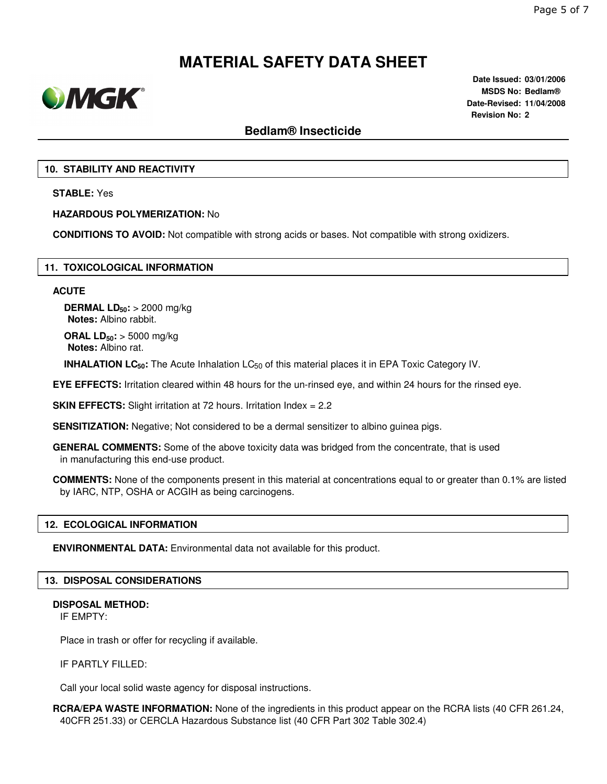

**Date Issued: 03/01/2006 MSDS No: Bedlam® Date-Revised: 11/04/2008 Revision No: 2**

### **Bedlam® Insecticide**

#### **10. STABILITY AND REACTIVITY**

**STABLE:** Yes

**HAZARDOUS POLYMERIZATION:** No

**CONDITIONS TO AVOID:** Not compatible with strong acids or bases. Not compatible with strong oxidizers.

#### **11. TOXICOLOGICAL INFORMATION**

#### **ACUTE**

**DERMAL LD50:** > 2000 mg/kg **Notes:** Albino rabbit.

**ORAL LD50:** > 5000 mg/kg **Notes:** Albino rat.

**INHALATION LC<sub>50</sub>:** The Acute Inhalation LC<sub>50</sub> of this material places it in EPA Toxic Category IV.

**EYE EFFECTS:** Irritation cleared within 48 hours for the un-rinsed eye, and within 24 hours for the rinsed eye.

**SKIN EFFECTS:** Slight irritation at 72 hours. Irritation Index = 2.2

**SENSITIZATION:** Negative; Not considered to be a dermal sensitizer to albino guinea pigs.

**GENERAL COMMENTS:** Some of the above toxicity data was bridged from the concentrate, that is used in manufacturing this end-use product.

**COMMENTS:** None of the components present in this material at concentrations equal to or greater than 0.1% are listed by IARC, NTP, OSHA or ACGIH as being carcinogens.

#### **12. ECOLOGICAL INFORMATION**

**ENVIRONMENTAL DATA:** Environmental data not available for this product.

#### **13. DISPOSAL CONSIDERATIONS**

#### **DISPOSAL METHOD:**

IF EMPTY:

Place in trash or offer for recycling if available.

IF PARTLY FILLED:

Call your local solid waste agency for disposal instructions.

**RCRA/EPA WASTE INFORMATION:** None of the ingredients in this product appear on the RCRA lists (40 CFR 261.24, 40CFR 251.33) or CERCLA Hazardous Substance list (40 CFR Part 302 Table 302.4)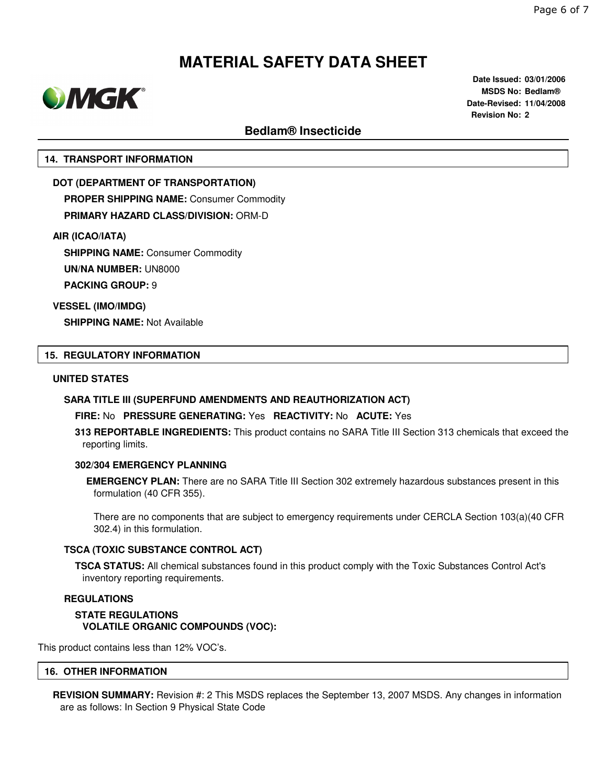

**Date Issued: 03/01/2006 MSDS No: Bedlam® Date-Revised: 11/04/2008 Revision No: 2**

## **Bedlam® Insecticide**

#### **14. TRANSPORT INFORMATION**

**DOT (DEPARTMENT OF TRANSPORTATION) PROPER SHIPPING NAME:** Consumer Commodity **PRIMARY HAZARD CLASS/DIVISION:** ORM-D

**AIR (ICAO/IATA)**

**SHIPPING NAME:** Consumer Commodity

**UN/NA NUMBER:** UN8000

**PACKING GROUP:** 9

**VESSEL (IMO/IMDG)**

**SHIPPING NAME:** Not Available

#### **15. REGULATORY INFORMATION**

#### **UNITED STATES**

#### **SARA TITLE III (SUPERFUND AMENDMENTS AND REAUTHORIZATION ACT)**

**FIRE:** No **PRESSURE GENERATING:** Yes **REACTIVITY:** No **ACUTE:** Yes

**313 REPORTABLE INGREDIENTS:** This product contains no SARA Title III Section 313 chemicals that exceed the reporting limits.

#### **302/304 EMERGENCY PLANNING**

**EMERGENCY PLAN:** There are no SARA Title III Section 302 extremely hazardous substances present in this formulation (40 CFR 355).

There are no components that are subject to emergency requirements under CERCLA Section 103(a)(40 CFR 302.4) in this formulation.

#### **TSCA (TOXIC SUBSTANCE CONTROL ACT)**

**TSCA STATUS:** All chemical substances found in this product comply with the Toxic Substances Control Act's inventory reporting requirements.

#### **REGULATIONS**

**STATE REGULATIONS VOLATILE ORGANIC COMPOUNDS (VOC):**

This product contains less than 12% VOC's.

#### **16. OTHER INFORMATION**

**REVISION SUMMARY:** Revision #: 2 This MSDS replaces the September 13, 2007 MSDS. Any changes in information are as follows: In Section 9 Physical State Code